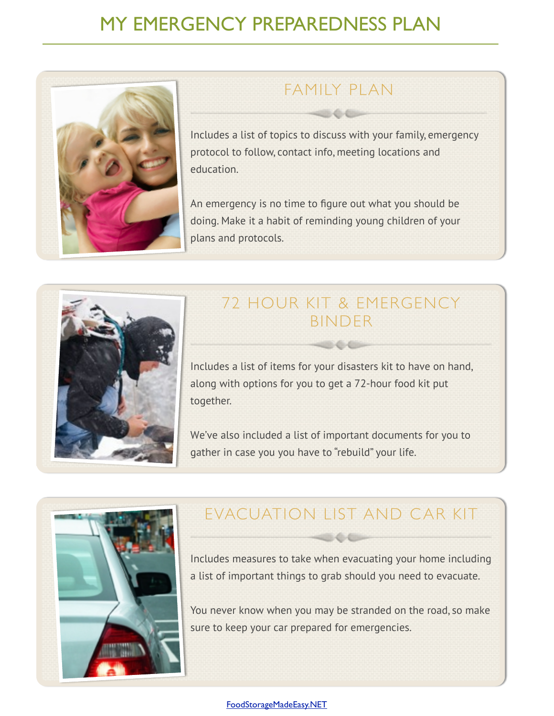# MY EMERGENCY PREPAREDNESS PLAN



## FAMILY PLAN

Includes a list of topics to discuss with your family, emergency protocol to follow, contact info, meeting locations and education.

An emergency is no time to figure out what you should be doing. Make it a habit of reminding young children of your plans and protocols.



## 72 HOUR KIT & EMERGENCY BINDER

Includes a list of items for your disasters kit to have on hand, along with options for you to get a 72-hour food kit put together.

We've also included a list of important documents for you to gather in case you you have to "rebuild" your life.



# EVACUATION LIST AND CAR KIT

Includes measures to take when evacuating your home including a list of important things to grab should you need to evacuate.

You never know when you may be stranded on the road, so make sure to keep your car prepared for emergencies.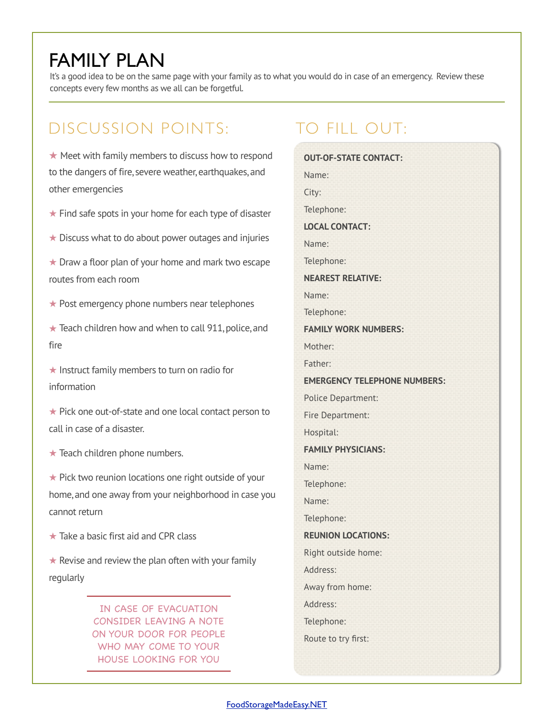# FAMILY PLAN

It's a good idea to be on the same page with your family as to what you would do in case of an emergency. Review these concepts every few months as we all can be forgetful.

## DISCUSSION POINTS:

## ★ Meet with family members to discuss how to respond to the dangers of fire, severe weather, earthquakes, and other emergencies

- ★ Find safe spots in your home for each type of disaster
- ★ Discuss what to do about power outages and injuries
- ★ Draw a floor plan of your home and mark two escape routes from each room
- ★ Post emergency phone numbers near telephones
- ★ Teach children how and when to call 911, police, and fire
- ★ Instruct family members to turn on radio for information
- ★ Pick one out-of-state and one local contact person to call in case of a disaster.
- $\star$  Teach children phone numbers.

★ Pick two reunion locations one right outside of your home, and one away from your neighborhood in case you cannot return

 $\star$  Take a basic first aid and CPR class

 $\star$  Revise and review the plan often with your family regularly

> IN CASE OF EVACUATION CONSIDER LEAVING A NOTE ON YOUR DOOR FOR PEOPLE WHO MAY COME TO YOUR HOUSE LOOKING FOR YOU

## TO FILL OUT:

**OUT-OF-STATE CONTACT:** Name: City: Telephone: **LOCAL CONTACT:** Name: Telephone: **NEAREST RELATIVE:** Name: Telephone: **FAMILY WORK NUMBERS:** Mother: Father: **EMERGENCY TELEPHONE NUMBERS:** Police Department: Fire Department: Hospital: **FAMILY PHYSICIANS:** Name: Telephone: Name: Telephone: **REUNION LOCATIONS:** Right outside home: Address: Away from home: Address: Telephone: Route to try first: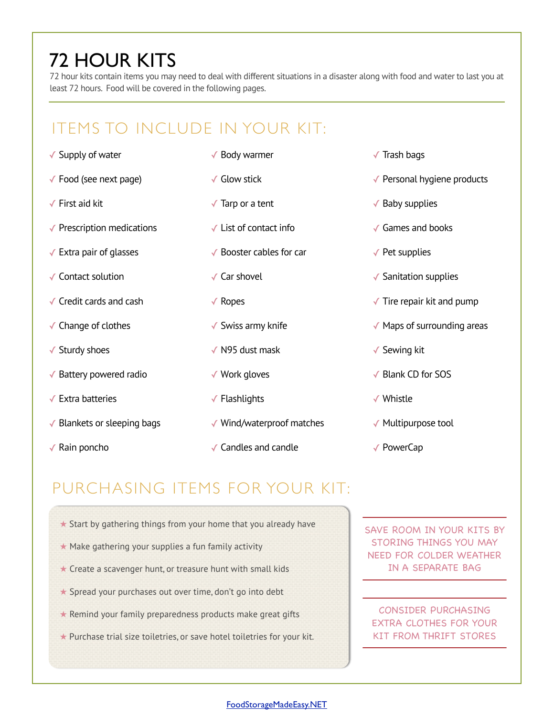# 72 HOUR KITS

72 hour kits contain items you may need to deal with different situations in a disaster along with food and water to last you at least 72 hours. Food will be covered in the following pages.

## ITEMS TO INCLUDE IN YOUR KIT:

- ✓ Supply of water
- $\checkmark$  Food (see next page)
- ✓ First aid kit
- ✓ Prescription medications
- $\sqrt{\ }$  Extra pair of glasses
- ✓ Contact solution
- ✓ Credit cards and cash
- ✓ Change of clothes
- ✓ Sturdy shoes
- ✓ Battery powered radio
- ✓ Extra batteries
- ✓ Blankets or sleeping bags
- ✓ Rain poncho
- ✓ Body warmer
- ✓ Glow stick
- $\sqrt{\ }$  Tarp or a tent
- $\checkmark$  List of contact info
- ✓ Booster cables for car
- ✓ Car shovel
- ✓ Ropes
- $\checkmark$  Swiss army knife
- ✓ N95 dust mask
- ✓ Work gloves
- ✓ Flashlights
- ✓ Wind/waterproof matches
- ✓ Candles and candle
- ✓ Trash bags
- ✓ Personal hygiene products
- $\checkmark$  Baby supplies
- ✓ Games and books
- $\sqrt{\ }$  Pet supplies
- ✓ Sanitation supplies
- $\sqrt{\ }$  Tire repair kit and pump
- ✓ Maps of surrounding areas
- ✓ Sewing kit
- ✓ Blank CD for SOS
- ✓ Whistle
- ✓ Multipurpose tool
- ✓ PowerCap

## PURCHASING ITEMS FOR YOUR KIT:

- $\star$  Start by gathering things from your home that you already have
- ★ Make gathering your supplies a fun family activity
- ★ Create a scavenger hunt, or treasure hunt with small kids
- ★ Spread your purchases out over time, don't go into debt
- $\star$  Remind your family preparedness products make great gifts ELEMENTUM EST. DUIS
- ★ Purchase trial size toiletries, or save hotel toiletries for your kit.

SAVE ROOM IN YOUR KITS BY STORING THINGS YOU MAY NEED FOR COLDER WEATHER IN A SEPARATE BAG

CONSIDER PURCHASING EXTRA CLOTHES FOR YOUR KIT FROM THRIFT STORES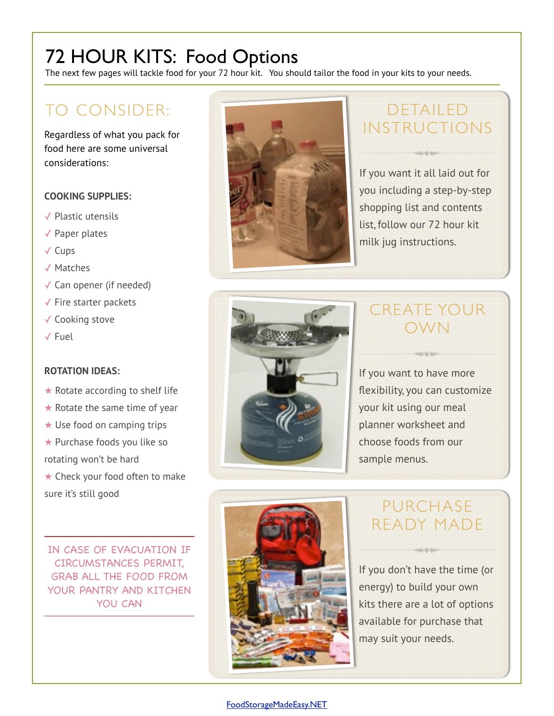# 72 HOUR KITS: Food Options

The next few pages will tackle food for your 72 hour kit. You should tailor the food in your kits to your needs.

## TO CONSIDER:

Regardless of what you pack for food here are some universal considerations:

## **COOKING SUPPLIES:**

- ✓ Plastic utensils
- ✓ Paper plates
- ✓ Cups
- ✓ Matches
- ✓ Can opener (if needed)
- ✓ Fire starter packets
- ✓ Cooking stove
- ✓ Fuel

### **ROTATION IDEAS:**

- $\star$  Rotate according to shelf life
- $\star$  Rotate the same time of year
- ★ Use food on camping trips
- ★ Purchase foods you like so
- rotating won't be hard

★ Check your food often to make sure it's still good

IN CASE OF EVACUATION IF CIRCUMSTANCES PERMIT, GRAB ALL THE FOOD FROM YOUR PANTRY AND KITCHEN YOU CAN



# DETAILED INSTRUCTIONS

If you want it all laid out for you including a step-by-step shopping list and contents list, follow our 72 hour kit milk jug instructions.



# CREATE YOUR OWN

If you want to have more flexibility, you can customize your kit using our meal planner worksheet and choose foods from our sample menus.



## PURCHASE READY MADE

If you don't have the time (or energy) to build your own kits there are a lot of options available for purchase that may suit your needs.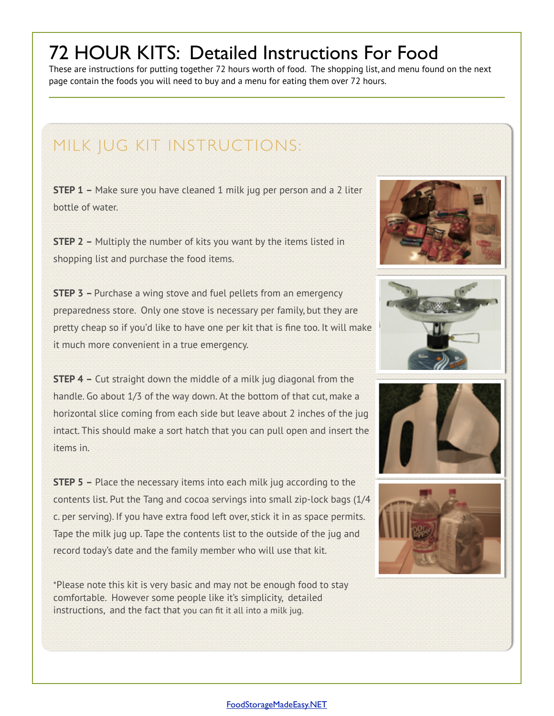# 72 HOUR KITS: Detailed Instructions For Food

These are instructions for putting together 72 hours worth of food. The shopping list, and menu found on the next page contain the foods you will need to buy and a menu for eating them over 72 hours.

## MILK JUG KIT INSTRUCTIONS:

**STEP 1 –** Make sure you have cleaned 1 milk jug per person and a 2 liter bottle of water.

**STEP 2 –** Multiply the number of kits you want by the items listed in shopping list and purchase the food items.

**STEP 3 –** Purchase a wing stove and fuel pellets from an emergency preparedness store. Only one stove is necessary per family, but they are pretty cheap so if you'd like to have one per kit that is fine too. It will make it much more convenient in a true emergency.

**STEP 4 –** Cut straight down the middle of a milk jug diagonal from the handle. Go about 1/3 of the way down. At the bottom of that cut, make a horizontal slice coming from each side but leave about 2 inches of the jug intact. This should make a sort hatch that you can pull open and insert the items in.

**STEP 5 –** Place the necessary items into each milk jug according to the contents list. Put the Tang and cocoa servings into small zip-lock bags (1/4 c. per serving). If you have extra food left over, stick it in as space permits. Tape the milk jug up. Tape the contents list to the outside of the jug and record today's date and the family member who will use that kit.

\*Please note this kit is very basic and may not be enough food to stay comfortable. However some people like it's simplicity, detailed instructions, and the fact that you can fit it all into a milk jug.



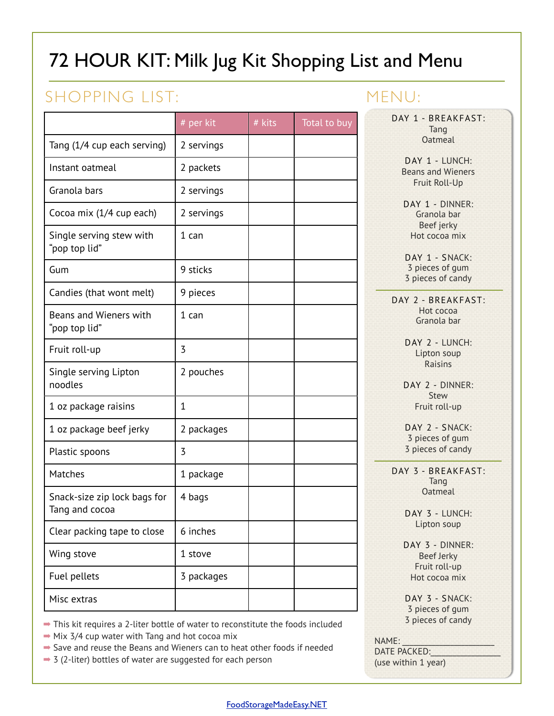# 72 HOUR KIT: Milk Jug Kit Shopping List and Menu

# SHOPPING LIST:

|                                                | # per kit    | # kits | <b>Total to buy</b> |
|------------------------------------------------|--------------|--------|---------------------|
| Tang (1/4 cup each serving)                    | 2 servings   |        |                     |
| Instant oatmeal                                | 2 packets    |        |                     |
| Granola bars                                   | 2 servings   |        |                     |
| Cocoa mix (1/4 cup each)                       | 2 servings   |        |                     |
| Single serving stew with<br>"pop top lid"      | 1 can        |        |                     |
| Gum                                            | 9 sticks     |        |                     |
| Candies (that wont melt)                       | 9 pieces     |        |                     |
| Beans and Wieners with<br>"pop top lid"        | $1$ can      |        |                     |
| Fruit roll-up                                  | 3            |        |                     |
| Single serving Lipton<br>noodles               | 2 pouches    |        |                     |
| 1 oz package raisins                           | $\mathbf{1}$ |        |                     |
| 1 oz package beef jerky                        | 2 packages   |        |                     |
| Plastic spoons                                 | 3            |        |                     |
| Matches                                        | 1 package    |        |                     |
| Snack-size zip lock bags for<br>Tang and cocoa | 4 bags       |        |                     |
| Clear packing tape to close                    | 6 inches     |        |                     |
| Wing stove                                     | 1 stove      |        |                     |
| Fuel pellets                                   | 3 packages   |        |                     |
| Misc extras                                    |              |        |                     |

## MENU:

DAY 1 - BREAKFAST: Tang **Oatmeal** 

> DAY 1 - LUNCH: Beans and Wieners Fruit Roll-Up

DAY 1 - DINNER: Granola bar Beef jerky Hot cocoa mix

DAY 1 - SNACK: 3 pieces of gum 3 pieces of candy

DAY 2 - BREAKFAST: Hot cocoa Granola bar

> DAY 2 - LUNCH: Lipton soup Raisins

DAY 2 - DINNER: Stew Fruit roll-up

DAY 2 - SNACK: 3 pieces of gum 3 pieces of candy

DAY 3 - BREAKFAST: Tang **Oatmeal** 

> DAY 3 - LUNCH: Lipton soup

DAY 3 - DINNER: Beef Jerky Fruit roll-up Hot cocoa mix

DAY 3 - SNACK: 3 pieces of gum 3 pieces of candy

NAME:

DATE PACKED: (use within 1 year)

## ➡ This kit requires a 2-liter bottle of water to reconstitute the foods included

- $\rightarrow$  Mix 3/4 cup water with Tang and hot cocoa mix
- $\rightarrow$  **Save and reuse the Beans and Wieners can to heat other foods if needed**
- $\rightarrow$  3 (2-liter) bottles of water are suggested for each person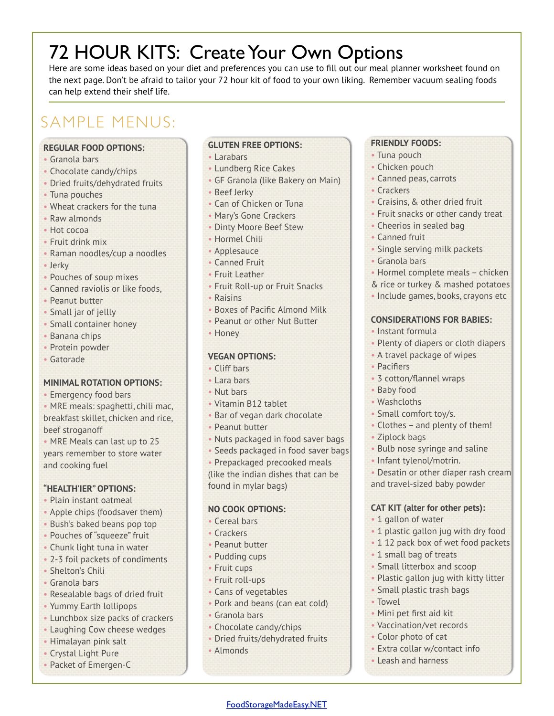# 72 HOUR KITS: Create Your Own Options

Here are some ideas based on your diet and preferences you can use to fill out our meal planner worksheet found on the next page. Don't be afraid to tailor your 72 hour kit of food to your own liking. Remember vacuum sealing foods can help extend their shelf life.

# SAMPLE MENUS:

### **REGULAR FOOD OPTIONS:**

- Granola bars
- Chocolate candy/chips
- Dried fruits/dehydrated fruits
- Tuna pouches
- Wheat crackers for the tuna
- Raw almonds
- Hot cocoa
- Fruit drink mix
- Raman noodles/cup a noodles
- Jerky
- Pouches of soup mixes
- Canned raviolis or like foods,
- Peanut butter
- Small jar of jellly
- Small container honey
- Banana chips
- Protein powder
- Gatorade

### **MINIMAL ROTATION OPTIONS:**

- Emergency food bars
- MRE meals: spaghetti, chili mac, breakfast skillet, chicken and rice, beef stroganoff

• MRE Meals can last up to 25 years remember to store water and cooking fuel

### **"HEALTH'IER" OPTIONS:**

- Plain instant oatmeal
- Apple chips (foodsaver them)
- Bush's baked beans pop top
- Pouches of "squeeze" fruit
- Chunk light tuna in water
- 2-3 foil packets of condiments
- Shelton's Chili
- Granola bars
- Resealable bags of dried fruit
- Yummy Earth lollipops
- Lunchbox size packs of crackers
- Laughing Cow cheese wedges
- Himalayan pink salt
- Crystal Light Pure
- Packet of Emergen-C

### **GLUTEN FREE OPTIONS:**

- Larabars
- Lundberg Rice Cakes
- GF Granola (like Bakery on Main)
- Beef Jerky
- Can of Chicken or Tuna
- Mary's Gone Crackers
- Dinty Moore Beef Stew
- Hormel Chili
- Applesauce
- Canned Fruit
- Fruit Leather
- Fruit Roll-up or Fruit Snacks
- Raisins
- Boxes of Pacific Almond Milk
- Peanut or other Nut Butter
- Honey

#### **VEGAN OPTIONS:**

- Cliff bars
- Lara bars
- Nut bars
- Vitamin B12 tablet
- Bar of vegan dark chocolate
- Peanut butter
- Nuts packaged in food saver bags
- Seeds packaged in food saver bags
- Prepackaged precooked meals

(like the indian dishes that can be found in mylar bags)

### **NO COOK OPTIONS:**

- Cereal bars
- Crackers
- Peanut butter
- Pudding cups
- Fruit cups
- Fruit roll-ups
- Cans of vegetables
- Pork and beans (can eat cold)
- Granola bars
- Chocolate candy/chips
- Dried fruits/dehydrated fruits

[FoodStorageMadeEasy.NET](http://foodstoragemadeeasy.net)

• Almonds

### **FRIENDLY FOODS:**

- Tuna pouch
- Chicken pouch
- Canned peas, carrots
- Crackers
- Craisins, & other dried fruit
- Fruit snacks or other candy treat
- Cheerios in sealed bag
- Canned fruit
- Single serving milk packets
- Granola bars
- Hormel complete meals chicken
- & rice or turkey & mashed potatoes
- Include games, books, crayons etc

#### **CONSIDERATIONS FOR BABIES:**

• A travel package of wipes

• 3 cotton/flannel wraps

• Small comfort toy/s.

• Clothes – and plenty of them!

• Bulb nose syringe and saline • Infant tylenol/motrin.

and travel-sized baby powder

**CAT KIT (alter for other pets):**

• 1 plastic gallon jug with dry food • 1 12 pack box of wet food packets

• Plastic gallon jug with kitty litter

• 1 gallon of water

• 1 small bag of treats • Small litterbox and scoop

• Small plastic trash bags

• Extra collar w/contact info

• Mini pet first aid kit • Vaccination/vet records • Color photo of cat

• Leash and harness

• Towel

• Desatin or other diaper rash cream

• Instant formula

• Pacifiers

• Baby food • Washcloths

• Ziplock bags

• Plenty of diapers or cloth diapers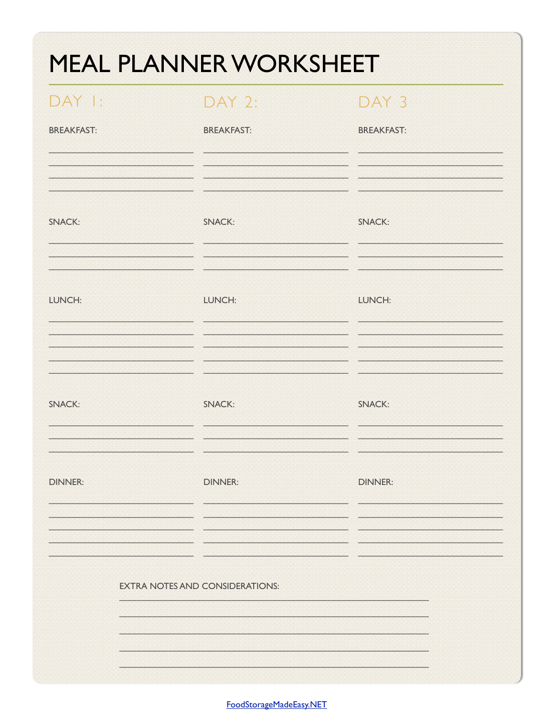| $DAY$ $\vdash$    | DAY 2:                                 | DAY <sub>3</sub>  |
|-------------------|----------------------------------------|-------------------|
| <b>BREAKFAST:</b> | <b>BREAKFAST:</b>                      | <b>BREAKFAST:</b> |
| <b>SNACK:</b>     | <b>SNACK:</b>                          | <b>SNACK:</b>     |
|                   |                                        |                   |
| LUNCH:            | LUNCH:                                 | LUNCH:            |
| <b>SNACK:</b>     | <b>SNACK:</b>                          | <b>SNACK:</b>     |
| <b>DINNER:</b>    | <b>DINNER:</b>                         | <b>DINNER:</b>    |
|                   |                                        |                   |
|                   | <b>EXTRA NOTES AND CONSIDERATIONS:</b> |                   |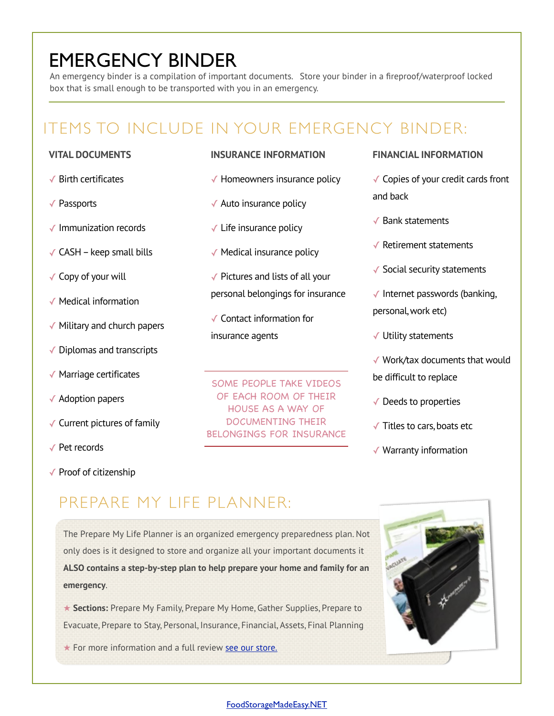# EMERGENCY BINDER

An emergency binder is a compilation of important documents. Store your binder in a fireproof/waterproof locked box that is small enough to be transported with you in an emergency.

# ITEMS TO INCLUDE IN YOUR EMERGENCY BINDER:

### **VITAL DOCUMENTS**

- ✓ Birth certificates
- ✓ Passports
- ✓ Immunization records
- $\checkmark$  CASH keep small bills
- ✓ Copy of your will
- ✓ Medical information
- ✓ Military and church papers
- ✓ Diplomas and transcripts
- ✓ Marriage certificates
- ✓ Adoption papers
- ✓ Current pictures of family
- ✓ Pet records
- ✓ Proof of citizenship

### **INSURANCE INFORMATION**

- $\sqrt{\ }$  Homeowners insurance policy
- ✓ Auto insurance policy
- $\checkmark$  Life insurance policy
- ✓ Medical insurance policy
- $\sqrt{\ }$  Pictures and lists of all your personal belongings for insurance
- ✓ Contact information for insurance agents

SOME PEOPLE TAKE VIDEOS OF EACH ROOM OF THEIR HOUSE AS A WAY OF DOCUMENTING THEIR BELONGINGS FOR INSURANCE

#### **FINANCIAL INFORMATION**

- ✓ Copies of your credit cards front and back
- ✓ Bank statements
- ✓ Retirement statements
- ✓ Social security statements
- $\checkmark$  Internet passwords (banking, personal, work etc)
- ✓ Utility statements
- ✓ Work/tax documents that would be difficult to replace
- $\sqrt{\ }$  Deeds to properties
- ✓ Titles to cars, boats etc
- ✓ Warranty information

## PREPARE MY LIFE PLANNER:

The Prepare My Life Planner is an organized emergency preparedness plan. Not only does is it designed to store and organize all your important documents it **ALSO contains a step-by-step plan to help prepare your home and family for an emergency**.

★ **Sections:** Prepare My Family, Prepare My Home, Gather Supplies, Prepare to Evacuate, Prepare to Stay, Personal, Insurance, Financial, Assets, Final Planning

 $\star$  For more information and a full review  $\frac{\text{see our store.}}{\text{For some } \text{the other}}$